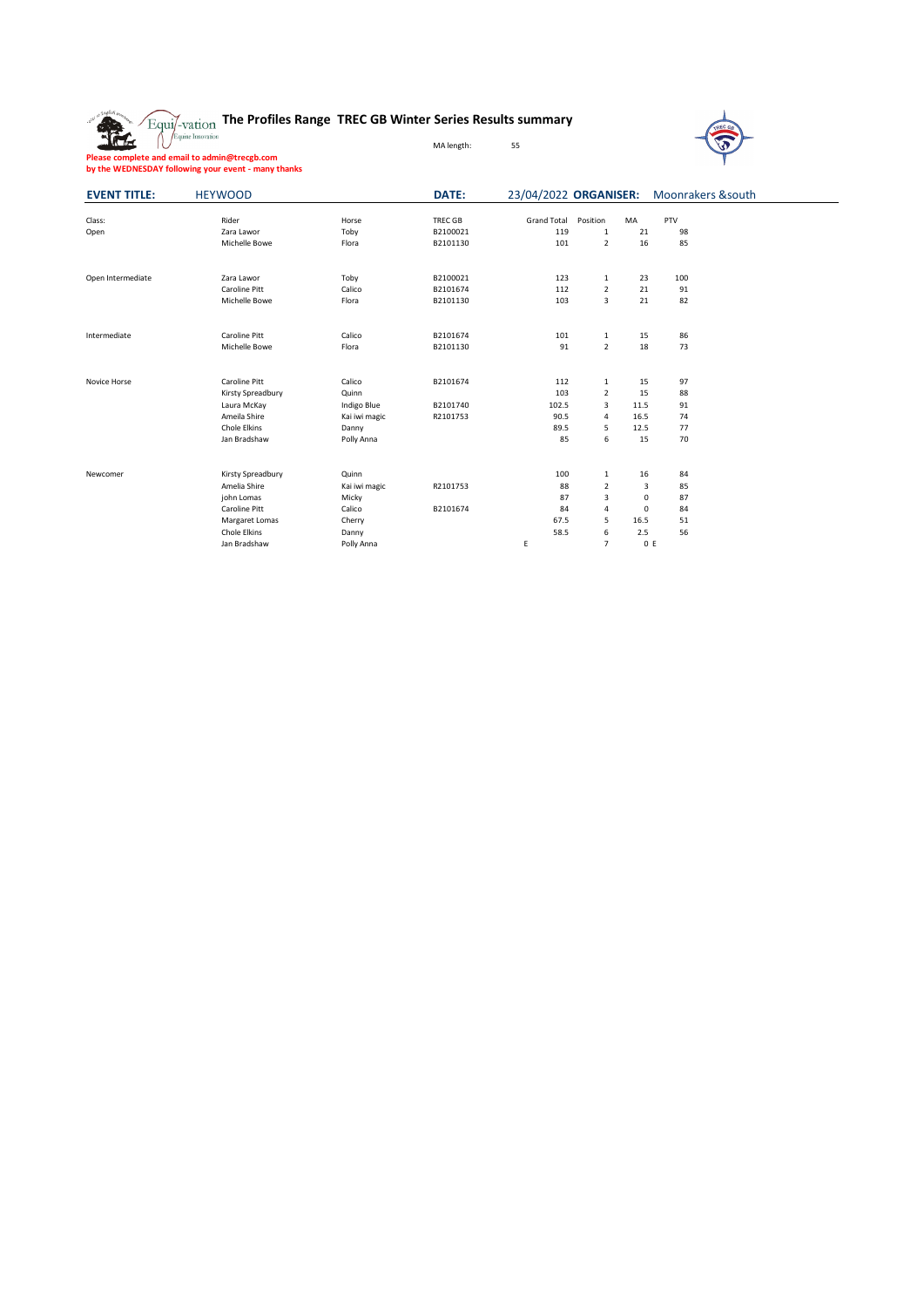**The Profiles Range TREC GB Winter Series Results summary**



**Please complete and email to admin@trecgb.com by the WEDNESDAY following your event - many thanks**

The

| <b>EVENT TITLE:</b> | <b>HEYWOOD</b>                                                                                                     |                                                                            | DATE:                            |                                            |                                                                      |                                                             | 23/04/2022 ORGANISER: Moonrakers &south |  |  |
|---------------------|--------------------------------------------------------------------------------------------------------------------|----------------------------------------------------------------------------|----------------------------------|--------------------------------------------|----------------------------------------------------------------------|-------------------------------------------------------------|-----------------------------------------|--|--|
| Class:<br>Open      | Rider<br>Zara Lawor<br>Michelle Bowe                                                                               | Horse<br>Toby<br>Flora                                                     | TREC GB<br>B2100021<br>B2101130  | <b>Grand Total</b><br>119<br>101           | Position<br>$\mathbf{1}$<br>$\overline{2}$                           | <b>MA</b><br>21<br>16                                       | PTV<br>98<br>85                         |  |  |
| Open Intermediate   | Zara Lawor<br>Caroline Pitt<br>Michelle Bowe                                                                       | Toby<br>Calico<br>Flora                                                    | B2100021<br>B2101674<br>B2101130 | 123<br>112<br>103                          | $\mathbf{1}$<br>$\overline{2}$<br>3                                  | 23<br>21<br>21                                              | 100<br>91<br>82                         |  |  |
| Intermediate        | Caroline Pitt<br>Michelle Bowe                                                                                     | Calico<br>Flora                                                            | B2101674<br>B2101130             | 101<br>91                                  | $\mathbf{1}$<br>$\overline{2}$                                       | 15<br>18                                                    | 86<br>73                                |  |  |
| Novice Horse        | Caroline Pitt<br>Kirsty Spreadbury<br>Laura McKay<br>Ameila Shire<br>Chole Elkins<br>Jan Bradshaw                  | Calico<br>Quinn<br>Indigo Blue<br>Kai iwi magic<br>Danny<br>Polly Anna     | B2101674<br>B2101740<br>R2101753 | 112<br>103<br>102.5<br>90.5<br>89.5<br>85  | $\mathbf{1}$<br>$\overline{2}$<br>3<br>4<br>5<br>6                   | 15<br>15<br>11.5<br>16.5<br>12.5<br>15                      | 97<br>88<br>91<br>74<br>77<br>70        |  |  |
| Newcomer            | Kirsty Spreadbury<br>Amelia Shire<br>john Lomas<br>Caroline Pitt<br>Margaret Lomas<br>Chole Elkins<br>Jan Bradshaw | Quinn<br>Kai iwi magic<br>Micky<br>Calico<br>Cherry<br>Danny<br>Polly Anna | R2101753<br>B2101674             | 100<br>88<br>87<br>84<br>67.5<br>58.5<br>E | $\mathbf{1}$<br>$\overline{2}$<br>3<br>4<br>5<br>6<br>$\overline{7}$ | 16<br>3<br>$\mathbf 0$<br>$\mathbf 0$<br>16.5<br>2.5<br>0 E | 84<br>85<br>87<br>84<br>51<br>56        |  |  |

MA length: 55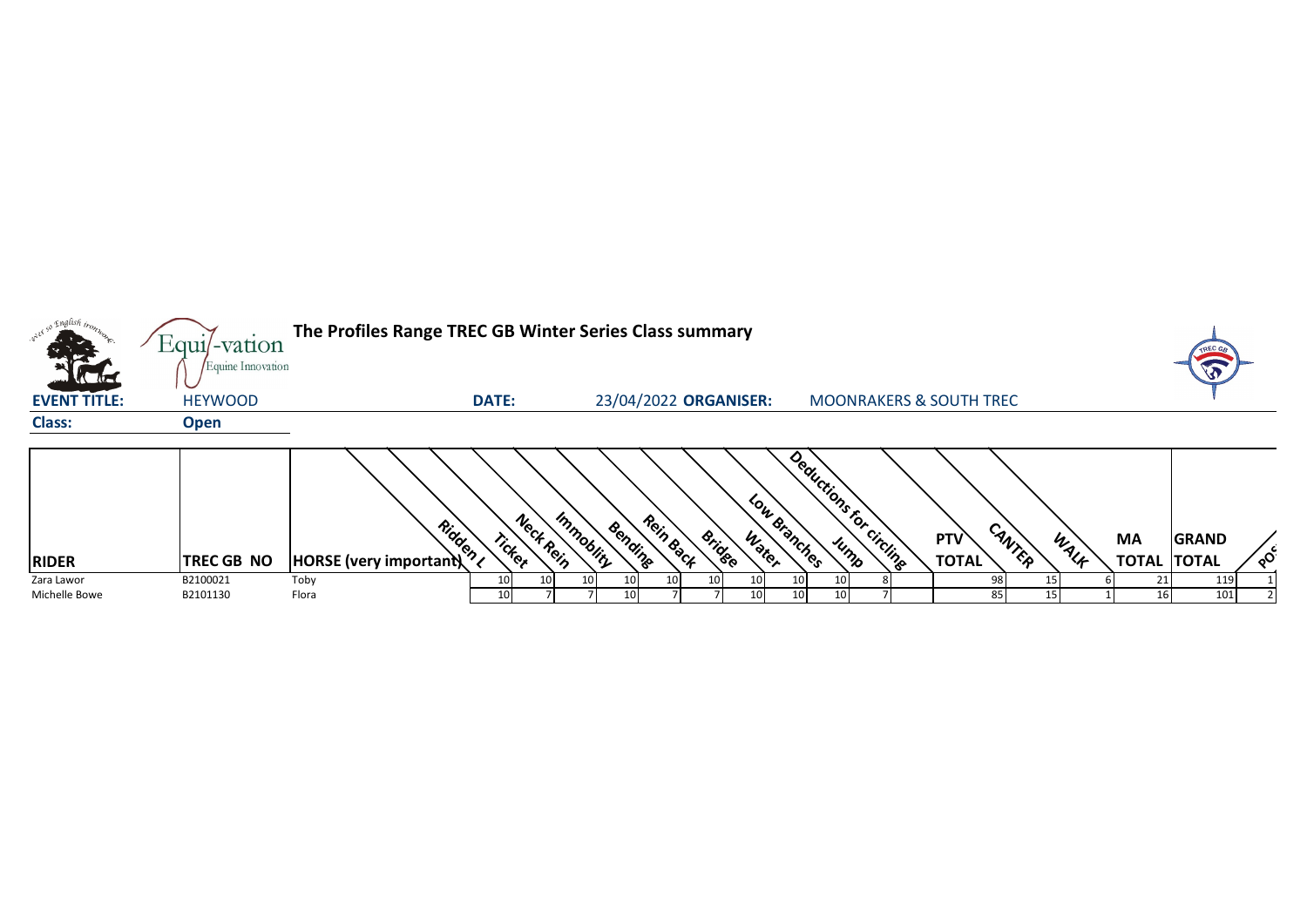|                     | Equil-vation      | The Profiles Range TREC GB Winter Series Class summary |                     |                       |                                     |                       |          |                                    |        |      |                    |              |          |
|---------------------|-------------------|--------------------------------------------------------|---------------------|-----------------------|-------------------------------------|-----------------------|----------|------------------------------------|--------|------|--------------------|--------------|----------|
|                     | Equine Innovation |                                                        |                     |                       |                                     |                       |          |                                    |        |      |                    |              |          |
| <b>EVENT TITLE:</b> | <b>HEYWOOD</b>    |                                                        | <b>DATE:</b>        |                       | 23/04/2022 ORGANISER:               |                       |          | <b>MOONRAKERS &amp; SOUTH TREC</b> |        |      |                    |              |          |
| <b>Class:</b>       | <b>Open</b>       |                                                        |                     |                       |                                     |                       |          |                                    |        |      |                    |              |          |
|                     |                   |                                                        |                     |                       |                                     |                       |          |                                    |        |      |                    |              |          |
|                     |                   |                                                        |                     |                       |                                     | Deductions For        |          |                                    |        |      |                    |              |          |
|                     |                   |                                                        |                     |                       |                                     |                       |          |                                    |        |      |                    |              |          |
|                     |                   | Ridden                                                 | Neck Rein<br>Ticker | Immobility<br>Bending | Rein Back<br><b>Bridge</b><br>Water | Low Branches          | circling | PTV                                | CANTER | WALF | <b>MA</b>          | <b>GRAND</b> |          |
| <b>RIDER</b>        | <b>TREC GB NO</b> | HORSE (very important)                                 |                     |                       |                                     | Jump                  |          | <b>TOTAL</b>                       |        |      | <b>TOTAL TOTAL</b> |              | $\delta$ |
| Zara Lawor          | B2100021          | Toby                                                   | 10                  | 10                    |                                     | 10                    |          |                                    |        |      |                    | 119          |          |
| Michelle Bowe       | B2101130          | Flora                                                  | 10 <sup>1</sup>     | 10                    |                                     | 10 <sup>1</sup><br>10 |          | 85                                 |        |      | 16                 | 101          |          |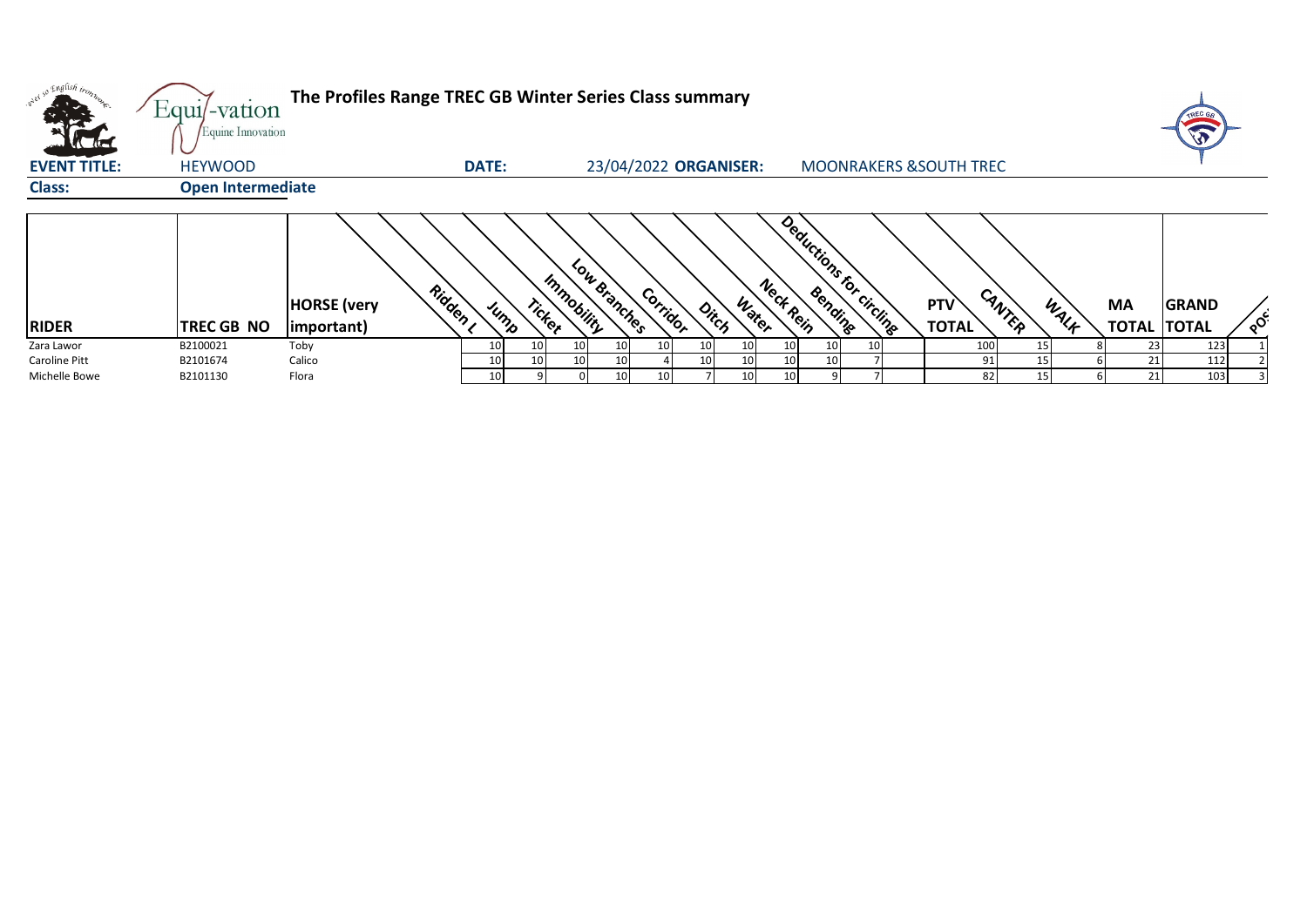|                            | Equil-vation<br>Equine Innovation | The Profiles Range TREC GB Winter Series Class summary |              |        |                            |                 |                       |                    |                                    |                            |        |      |                                 | TREC G       |          |
|----------------------------|-----------------------------------|--------------------------------------------------------|--------------|--------|----------------------------|-----------------|-----------------------|--------------------|------------------------------------|----------------------------|--------|------|---------------------------------|--------------|----------|
| तिल<br><b>EVENT TITLE:</b> | <b>HEYWOOD</b>                    |                                                        | <b>DATE:</b> |        |                            |                 | 23/04/2022 ORGANISER: |                    | <b>MOONRAKERS &amp; SOUTH TREC</b> |                            |        |      |                                 |              |          |
| <b>Class:</b>              | <b>Open Intermediate</b>          |                                                        |              |        |                            |                 |                       |                    |                                    |                            |        |      |                                 |              |          |
| <b>RIDER</b>               | <b>TREC GB NO</b>                 | Ridden ,<br><b>HORSE</b> (very<br>important)           | Jump         | Ticker | Low Branches<br>Immobility | Corridor        | Ditch                 | Neck Rein<br>Water | Deductions for circuits            | <b>PTV</b><br><b>TOTAL</b> | CANTER | WALF | <b>MA</b><br><b>TOTAL TOTAL</b> | <b>GRAND</b> | $\delta$ |
| Zara Lawor                 | B2100021                          | Toby                                                   | 10           | 10     | 10<br>10                   | 10 I            | 10<br>10              |                    |                                    | 100                        | 15     |      | 23                              | 123          |          |
| Caroline Pitt              | B2101674                          | Calico                                                 | 10           | 10     | 10                         |                 | 10<br>10              |                    |                                    |                            |        |      | 21                              | 112          |          |
| Michelle Bowe              | B2101130                          | Flora                                                  | 10           |        | 10                         | 10 <sub>1</sub> | 10                    |                    |                                    | 82                         |        |      | 21                              | 103          |          |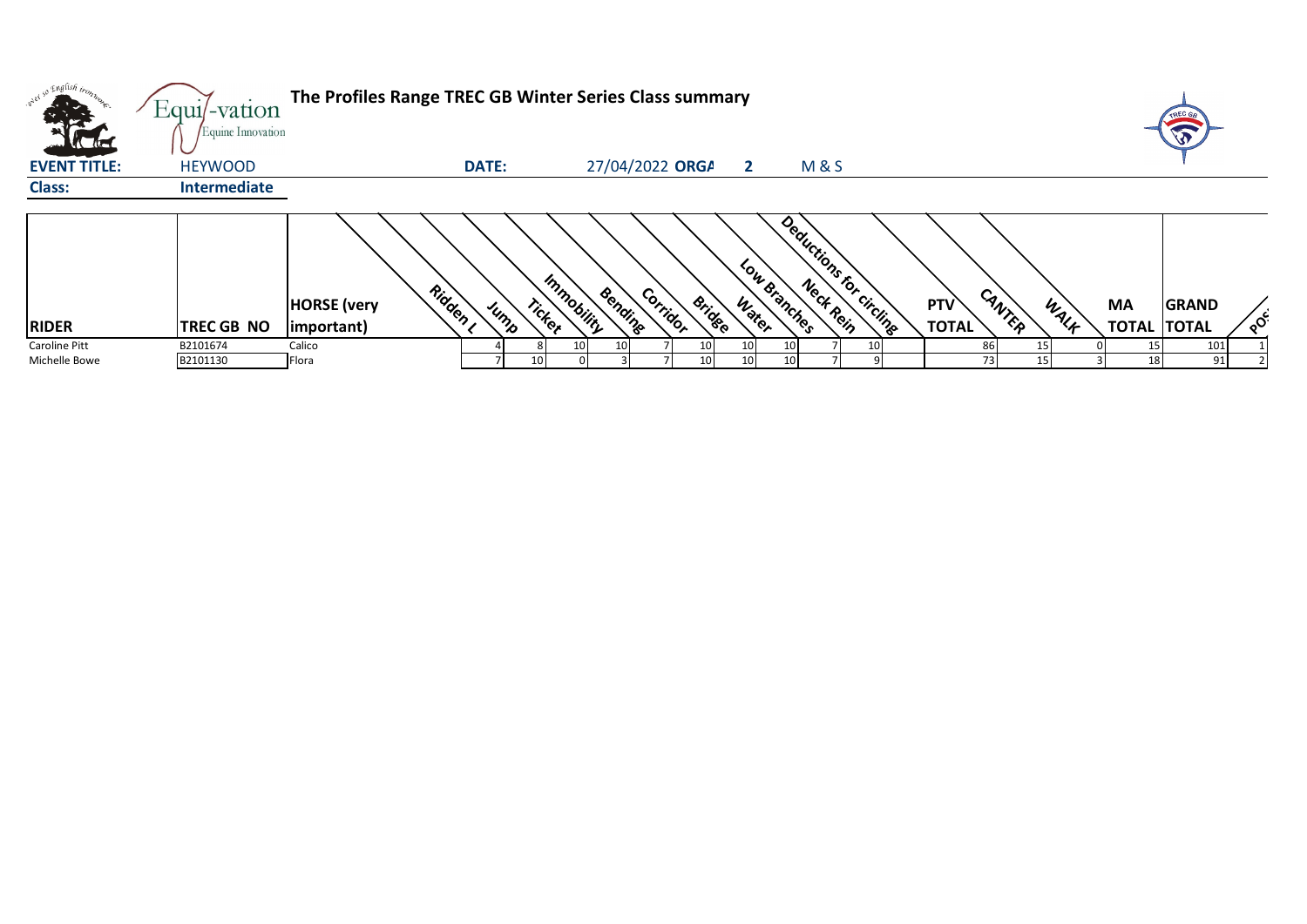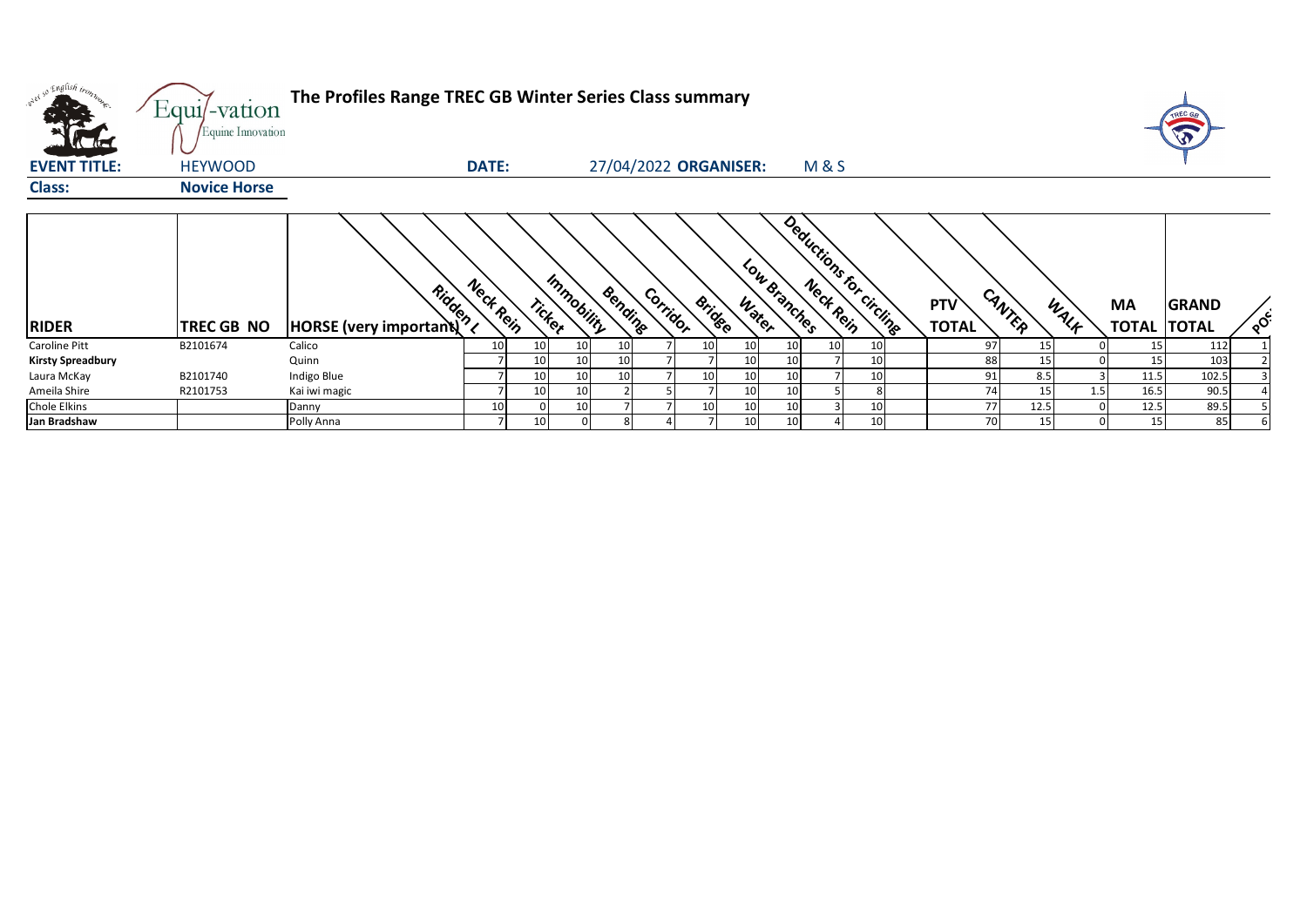| orel so English trong    | $Equi$ -vation<br>Equine Innovation | The Profiles Range TREC GB Winter Series Class summary |              |                      |         |          |                       |                 |                 |                 |                          |                            |        |      |                                 |              |          |
|--------------------------|-------------------------------------|--------------------------------------------------------|--------------|----------------------|---------|----------|-----------------------|-----------------|-----------------|-----------------|--------------------------|----------------------------|--------|------|---------------------------------|--------------|----------|
| <b>EVENT TITLE:</b>      | <b>HEYWOOD</b>                      |                                                        | <b>DATE:</b> |                      |         |          | 27/04/2022 ORGANISER: |                 |                 | <b>M&amp;S</b>  |                          |                            |        |      |                                 |              |          |
| <b>Class:</b>            | <b>Novice Horse</b>                 |                                                        |              |                      |         |          |                       |                 |                 |                 |                          |                            |        |      |                                 |              |          |
| <b>RIDER</b>             | TREC GB NO                          | All Rock (very important)                              | Neck Rein    | Immobility<br>Ticker | Bending | Corridor | <b>Bridge</b>         | Water           | Low Branches    |                 | Deductions for circlings | <b>PTV</b><br><b>TOTAL</b> | CANTER | WALF | <b>MA</b><br><b>TOTAL TOTAL</b> | <b>GRAND</b> | $\delta$ |
| Caroline Pitt            | B2101674                            | Calico                                                 | 10           | 10<br>10             |         |          | 10 <sup>1</sup>       | 10              | 10 <sup>1</sup> | 10 <sup>1</sup> | 10 <sub>1</sub>          | 97                         | 15     |      | 15                              | 112          |          |
| <b>Kirsty Spreadbury</b> |                                     | Quinn                                                  |              | 10<br>10             |         |          |                       | 10              | 10              |                 | 10                       | 88                         | 15     |      | 15                              | 103          |          |
| Laura McKay              | B2101740                            | Indigo Blue                                            |              | 10<br>10             |         |          | 10 <sup>1</sup>       | 10              | 10              |                 | 10 <sub>1</sub>          | 91                         | 8.5    |      | 11.5                            | 102.5        |          |
| Ameila Shire             | R2101753                            | Kai iwi magic                                          |              | 10<br>10             |         |          |                       | 10 <sup>1</sup> | 10 <sup>1</sup> |                 |                          | 74                         | 15     | 1.5  | 16.5                            | 90.5         |          |
| <b>Chole Elkins</b>      |                                     | Danny                                                  | 10           |                      |         |          | 10                    | 10              | 10              |                 | 10                       | 77                         | 12.5   |      | 12.5                            | 89.5         |          |
| Jan Bradshaw             |                                     | Polly Anna                                             |              | 10                   |         |          |                       | 10 <sup>1</sup> | 10 <sup>1</sup> |                 | 10                       | 70                         | 15     |      | 15                              | 85           |          |